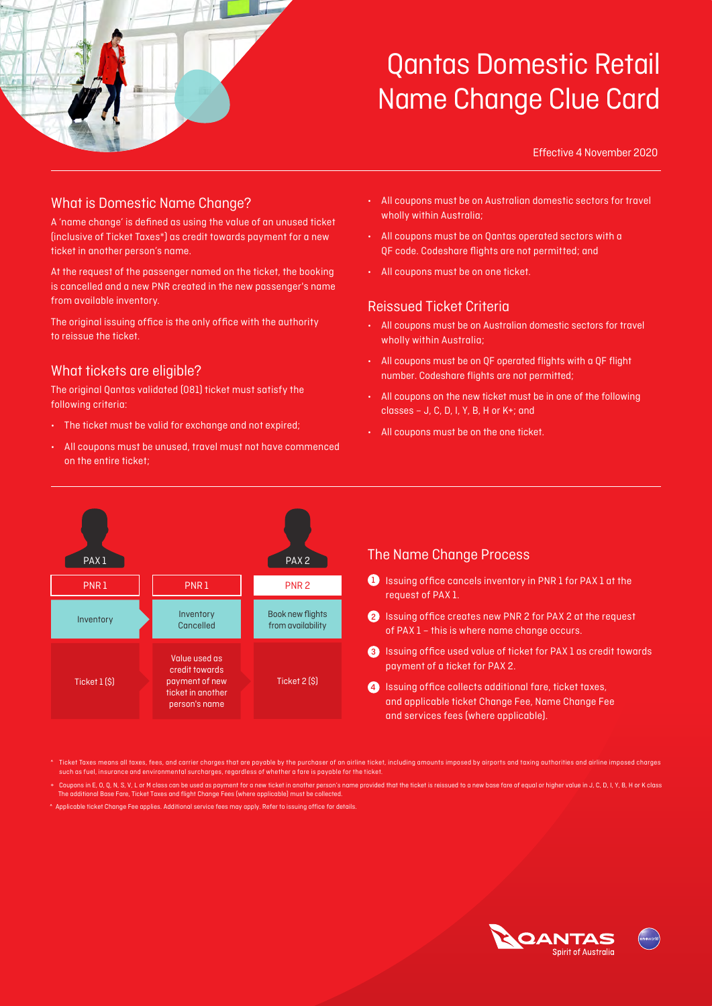

Effective 4 November 2020

### What is Domestic Name Change?

A 'name change' is defined as using the value of an unused ticket (inclusive of Ticket Taxes\*) as credit towards payment for a new ticket in another person's name.

At the request of the passenger named on the ticket, the booking is cancelled and a new PNR created in the new passenger's name from available inventory.

The original issuing office is the only office with the authority to reissue the ticket.

### What tickets are eligible?

The original Qantas validated (081) ticket must satisfy the following criteria:

- The ticket must be valid for exchange and not expired;
- All coupons must be unused, travel must not have commenced on the entire ticket;
- All coupons must be on Australian domestic sectors for travel wholly within Australia;
- All coupons must be on Qantas operated sectors with a QF code. Codeshare flights are not permitted; and
- All coupons must be on one ticket.

### Reissued Ticket Criteria

- All coupons must be on Australian domestic sectors for travel wholly within Australia;
- All coupons must be on QF operated flights with a QF flight number. Codeshare flights are not permitted;
- All coupons on the new ticket must be in one of the following classes – J, C, D, I, Y, B, H or K+; and
- All coupons must be on the one ticket.



Ticket Taxes means all taxes, fees, and carrier charges that are payable by the purchaser of an airline ticket, including amounts imposed by airports and taxing authorities and airline imposed charges such as fuel, insurance and environmental surcharges, regardless of whether a fare is payable for the ticket.

Coupons in E, O, Q, N, S, V, L or M class can be used as payment for a new ticket in another person's name provided that the ticket is reissued to a new base fare of equal or higher value in J, C, D, I, Y, B, H or K class The additional Base Fare, Ticket Taxes and flight Change Fees (where applicable) must be collected.

^ Applicable ticket Change Fee applies. Additional service fees may apply. Refer to issuing office for details.

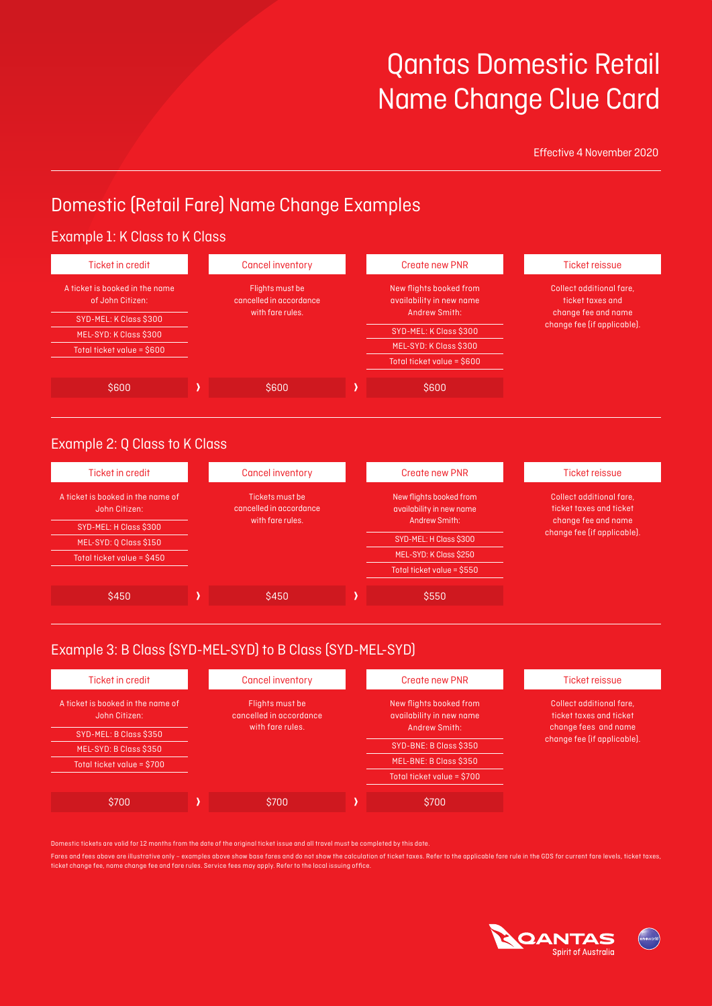Effective 4 November 2020

## Domestic (Retail Fare) Name Change Examples

#### Example 1: K Class to K Class A ticket is booked in the name of John Citizen: SYD-MEL: K Class \$300 MEL-SYD: K Class \$300 Total ticket value = \$600 Flights must be cancelled in accordance with fare rules. New flights booked from availability in new name Andrew Smith: SYD-MEL: K Class \$300 MEL-SYD: K Class \$300 Total ticket value = \$600 Collect additional fare, ticket taxes and change fee and name change fee (if applicable). Ticket in credit Cancel inventory Create new PNR Ticket reissue  $\begin{array}{|c|c|c|c|c|}\hline \text{SOO} & \text{SOO} & \text{SOO} \ \hline \end{array}$

### Example 2: Q Class to K Class

| Ticket in credit                                   |  | <b>Cancel inventory</b>                    |  | <b>Create new PNR</b>                               |  | Ticket reissue                                      |
|----------------------------------------------------|--|--------------------------------------------|--|-----------------------------------------------------|--|-----------------------------------------------------|
| A ticket is booked in the name of<br>John Citizen: |  | Tickets must be<br>cancelled in accordance |  | New flights booked from<br>availability in new name |  | Collect additional fare.<br>ticket taxes and ticket |
| SYD-MEL: H Class \$300                             |  | with fare rules.                           |  | Andrew Smith:                                       |  | change fee and name<br>change fee (if applicable).  |
| MEL-SYD: 0 Class \$150                             |  |                                            |  | SYD-MEL: H Class \$300                              |  |                                                     |
| Total ticket value = \$450                         |  |                                            |  | MEL-SYD: K Class \$250                              |  |                                                     |
|                                                    |  |                                            |  | Total ticket value = \$550                          |  |                                                     |
|                                                    |  |                                            |  |                                                     |  |                                                     |
| \$450                                              |  | \$450                                      |  | \$550                                               |  |                                                     |

## Example 3: B Class (SYD-MEL-SYD) to B Class (SYD-MEL-SYD)

| Ticket in credit                                   | <b>Cancel inventory</b>                    |  | Create new PNR                                      | <b>Ticket reissue</b>                               |
|----------------------------------------------------|--------------------------------------------|--|-----------------------------------------------------|-----------------------------------------------------|
| A ticket is booked in the name of<br>John Citizen: | Flights must be<br>cancelled in accordance |  | New flights booked from<br>availability in new name | Collect additional fare.<br>ticket taxes and ticket |
| SYD-MEL: B Class \$350                             | with fare rules.                           |  | Andrew Smith:                                       | change fees and name<br>change fee (if applicable). |
| MEL-SYD: B Class \$350                             |                                            |  | SYD-BNE: B Class \$350                              |                                                     |
| Total ticket value = \$700                         |                                            |  | MEL-BNE: B Class \$350                              |                                                     |
|                                                    |                                            |  | Total ticket value = \$700                          |                                                     |
| \$700                                              | \$700                                      |  | \$700                                               |                                                     |

Domestic tickets are valid for 12 months from the date of the original ticket issue and all travel must be completed by this date.

Fares and fees above are illustrative only – examples above show base fares and do not show the calculation of ticket taxes. Refer to the applicable fare rule in the GDS for current fare levels, ticket taxes, ticket change fee, name change fee and fare rules. Service fees may apply. Refer to the local issuing office.

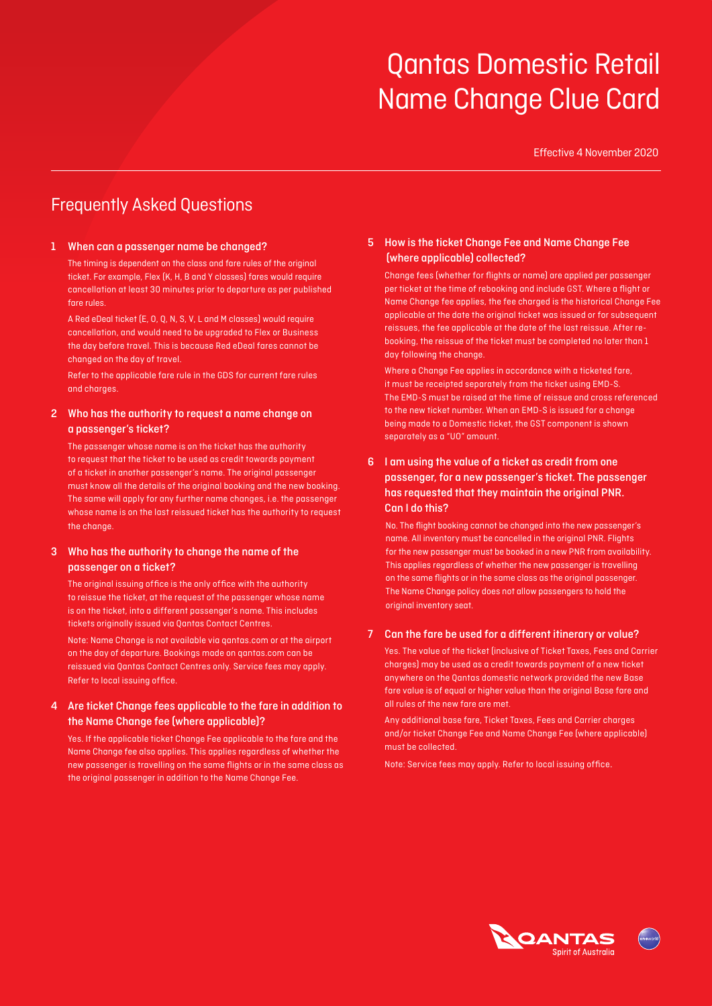Effective 4 November 2020

## Frequently Asked Questions

#### 1 When can a passenger name be changed?

The timing is dependent on the class and fare rules of the original ticket. For example, Flex (K, H, B and Y classes) fares would require cancellation at least 30 minutes prior to departure as per published fare rules.

A Red eDeal ticket (E, O, Q, N, S, V, L and M classes) would require cancellation, and would need to be upgraded to Flex or Business the day before travel. This is because Red eDeal fares cannot be changed on the day of travel.

Refer to the applicable fare rule in the GDS for current fare rules and charges.

#### 2 Who has the authority to request a name change on a passenger's ticket?

The passenger whose name is on the ticket has the authority to request that the ticket to be used as credit towards payment of a ticket in another passenger's name. The original passenger must know all the details of the original booking and the new booking. The same will apply for any further name changes, i.e. the passenger whose name is on the last reissued ticket has the authority to request the change.

#### 3 Who has the authority to change the name of the passenger on a ticket?

The original issuing office is the only office with the authority to reissue the ticket, at the request of the passenger whose name is on the ticket, into a different passenger's name. This includes tickets originally issued via Qantas Contact Centres.

Note: Name Change is not available via qantas.com or at the airport on the day of departure. Bookings made on qantas.com can be reissued via Qantas Contact Centres only. Service fees may apply. Refer to local issuing office.

#### 4 Are ticket Change fees applicable to the fare in addition to the Name Change fee (where applicable)?

Yes. If the applicable ticket Change Fee applicable to the fare and the Name Change fee also applies. This applies regardless of whether the new passenger is travelling on the same flights or in the same class as the original passenger in addition to the Name Change Fee.

#### 5 How is the ticket Change Fee and Name Change Fee (where applicable) collected?

Change fees (whether for flights or name) are applied per passenger per ticket at the time of rebooking and include GST. Where a flight or Name Change fee applies, the fee charged is the historical Change Fee applicable at the date the original ticket was issued or for subsequent reissues, the fee applicable at the date of the last reissue. After rebooking, the reissue of the ticket must be completed no later than 1 day following the change.

Where a Change Fee applies in accordance with a ticketed fare, it must be receipted separately from the ticket using EMD-S. The EMD-S must be raised at the time of reissue and cross referenced to the new ticket number. When an EMD-S is issued for a change being made to a Domestic ticket, the GST component is shown separately as a "UO" amount.

#### 6 I am using the value of a ticket as credit from one passenger, for a new passenger's ticket. The passenger has requested that they maintain the original PNR. Can I do this?

No. The flight booking cannot be changed into the new passenger's name. All inventory must be cancelled in the original PNR. Flights for the new passenger must be booked in a new PNR from availability. This applies regardless of whether the new passenger is travelling on the same flights or in the same class as the original passenger. The Name Change policy does not allow passengers to hold the original inventory seat.

#### 7 Can the fare be used for a different itinerary or value?

Yes. The value of the ticket (inclusive of Ticket Taxes, Fees and Carrier charges) may be used as a credit towards payment of a new ticket anywhere on the Qantas domestic network provided the new Base fare value is of equal or higher value than the original Base fare and all rules of the new fare are met.

Any additional base fare, Ticket Taxes, Fees and Carrier charges and/or ticket Change Fee and Name Change Fee (where applicable) must be collected.

Note: Service fees may apply. Refer to local issuing office.